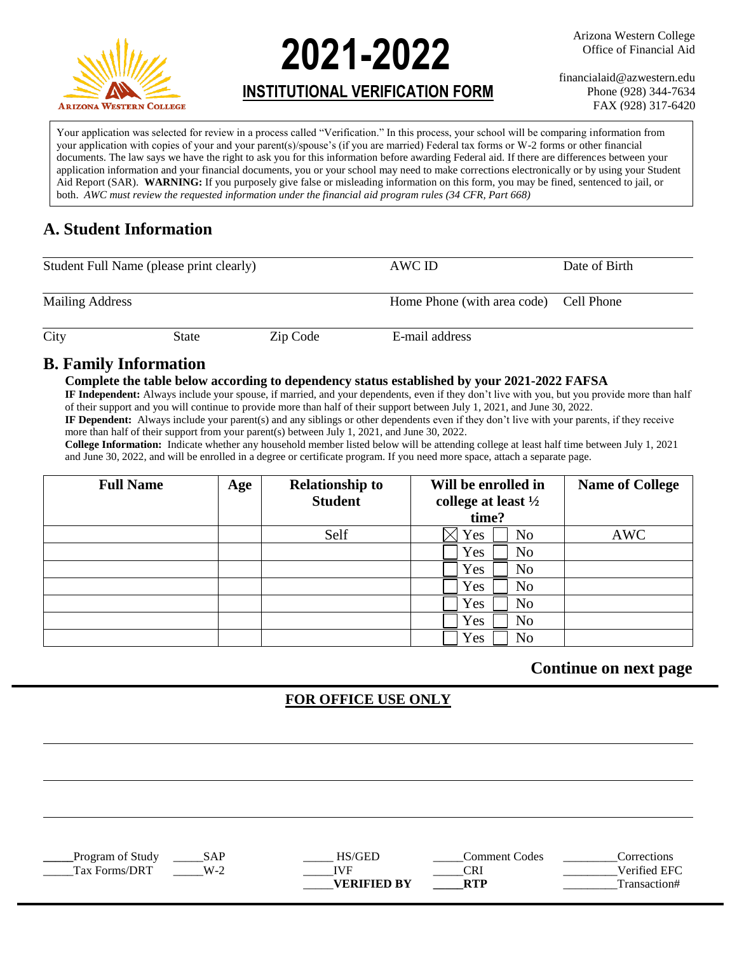

**2021-2022**

# **INSTITUTIONAL VERIFICATION FORM**

Arizona Western College Office of Financial Aid

financialaid@azwestern.edu Phone (928) 344-7634 FAX (928) 317-6420

Your application was selected for review in a process called "Verification." In this process, your school will be comparing information from your application with copies of your and your parent(s)/spouse's (if you are married) Federal tax forms or W-2 forms or other financial documents. The law says we have the right to ask you for this information before awarding Federal aid. If there are differences between your application information and your financial documents, you or your school may need to make corrections electronically or by using your Student Aid Report (SAR). **WARNING:** If you purposely give false or misleading information on this form, you may be fined, sentenced to jail, or both. *AWC must review the requested information under the financial aid program rules (34 CFR, Part 668)*

## **A. Student Information**

| Student Full Name (please print clearly) |              |          | AWC ID                                 | Date of Birth |
|------------------------------------------|--------------|----------|----------------------------------------|---------------|
| <b>Mailing Address</b>                   |              |          | Home Phone (with area code) Cell Phone |               |
| City                                     | <b>State</b> | Zip Code | E-mail address                         |               |

### **B. Family Information**

#### **Complete the table below according to dependency status established by your 2021-2022 FAFSA**

**IF Independent:** Always include your spouse, if married, and your dependents, even if they don't live with you, but you provide more than half of their support and you will continue to provide more than half of their support between July 1, 2021, and June 30, 2022.

**IF Dependent:** Always include your parent(s) and any siblings or other dependents even if they don't live with your parents, if they receive more than half of their support from your parent(s) between July 1, 2021, and June 30, 2022.

**College Information:** Indicate whether any household member listed below will be attending college at least half time between July 1, 2021 and June 30, 2022, and will be enrolled in a degree or certificate program. If you need more space, attach a separate page.

| <b>Full Name</b> | Age | <b>Relationship to</b> | Will be enrolled in            | <b>Name of College</b> |
|------------------|-----|------------------------|--------------------------------|------------------------|
|                  |     | <b>Student</b>         | college at least $\frac{1}{2}$ |                        |
|                  |     |                        | time?                          |                        |
|                  |     | Self                   | No<br>Yes                      | <b>AWC</b>             |
|                  |     |                        | Yes<br>N <sub>0</sub>          |                        |
|                  |     |                        | Yes<br>N <sub>o</sub>          |                        |
|                  |     |                        | Yes<br>N <sub>0</sub>          |                        |
|                  |     |                        | Yes<br>N <sub>o</sub>          |                        |
|                  |     |                        | Yes<br>N <sub>o</sub>          |                        |
|                  |     |                        | Yes<br>No                      |                        |

### **Continue on next page**

### **FOR OFFICE USE ONLY**

**Program of Study**  $SAP$  $HS/GED$  $Comment$  **Comment Codes**  $Corrections$ Tax Forms/DRT  $W-2$   $IVF$   $CRI$   $CRI$   $Verified EFC$ **VERIFIED BY RTP** Transaction#